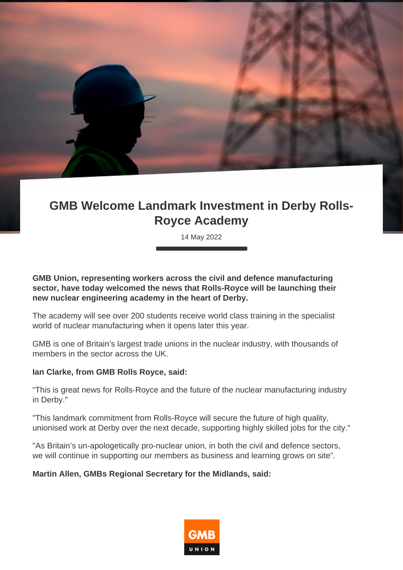## **GMB Welcome Landmark Investment in Derby Rolls-Royce Academy**

14 May 2022

**GMB Union, representing workers across the civil and defence manufacturing sector, have today welcomed the news that Rolls-Royce will be launching their new nuclear engineering academy in the heart of Derby.**

The academy will see over 200 students receive world class training in the specialist world of nuclear manufacturing when it opens later this year.

GMB is one of Britain's largest trade unions in the nuclear industry, with thousands of members in the sector across the UK.

## **Ian Clarke, from GMB Rolls Royce, said:**

"This is great news for Rolls-Royce and the future of the nuclear manufacturing industry in Derby."

"This landmark commitment from Rolls-Royce will secure the future of high quality, unionised work at Derby over the next decade, supporting highly skilled jobs for the city."

"As Britain's un-apologetically pro-nuclear union, in both the civil and defence sectors, we will continue in supporting our members as business and learning grows on site".

## **Martin Allen, GMBs Regional Secretary for the Midlands, said:**